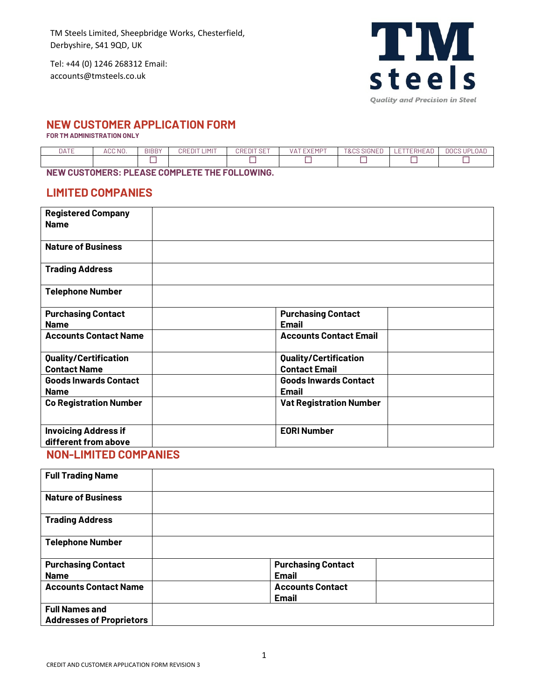Tel: +44 (0) 1246 268312 Email: accounts@tmsteels.co.uk



## **NEW CUSTOMER APPLICATION FORM**

**FOR TM ADMINISTRATION ONLY** 

| DATE | <b>CC NO.</b> | <b>BIBBY</b> | 13,417<br>JRF<br>- 11 | 177.077<br>∩RF<br>DЕ. | 1.07<br>$\sqrt{2}$<br>$\sqrt{\Lambda}$<br>− | $\sim\cdot\cdot\cdot$<br>T <sub>0</sub><br>∝ |  | DOP<br>שנ |
|------|---------------|--------------|-----------------------|-----------------------|---------------------------------------------|----------------------------------------------|--|-----------|
|      |               |              |                       |                       |                                             |                                              |  |           |
|      |               |              |                       |                       |                                             |                                              |  |           |

**NEW CUSTOMERS: PLEASE COMPLETE THE FOLLOWING.** 

## **LIMITED COMPANIES**

| <b>Registered Company</b><br><b>Name</b>            |                                                      |  |
|-----------------------------------------------------|------------------------------------------------------|--|
| <b>Nature of Business</b>                           |                                                      |  |
| <b>Trading Address</b>                              |                                                      |  |
| <b>Telephone Number</b>                             |                                                      |  |
| <b>Purchasing Contact</b><br><b>Name</b>            | <b>Purchasing Contact</b><br><b>Email</b>            |  |
| <b>Accounts Contact Name</b>                        | <b>Accounts Contact Email</b>                        |  |
| <b>Quality/Certification</b><br><b>Contact Name</b> | <b>Quality/Certification</b><br><b>Contact Email</b> |  |
| <b>Goods Inwards Contact</b><br><b>Name</b>         | <b>Goods Inwards Contact</b><br><b>Email</b>         |  |
| <b>Co Registration Number</b>                       | <b>Vat Registration Number</b>                       |  |
| <b>Invoicing Address if</b><br>different from above | <b>EORI Number</b>                                   |  |

## **NON-LIMITED COMPANIES**

| <b>Full Trading Name</b>        |                           |  |
|---------------------------------|---------------------------|--|
| <b>Nature of Business</b>       |                           |  |
| <b>Trading Address</b>          |                           |  |
| <b>Telephone Number</b>         |                           |  |
| <b>Purchasing Contact</b>       | <b>Purchasing Contact</b> |  |
| <b>Name</b>                     | <b>Email</b>              |  |
| <b>Accounts Contact Name</b>    | <b>Accounts Contact</b>   |  |
|                                 | <b>Email</b>              |  |
| <b>Full Names and</b>           |                           |  |
| <b>Addresses of Proprietors</b> |                           |  |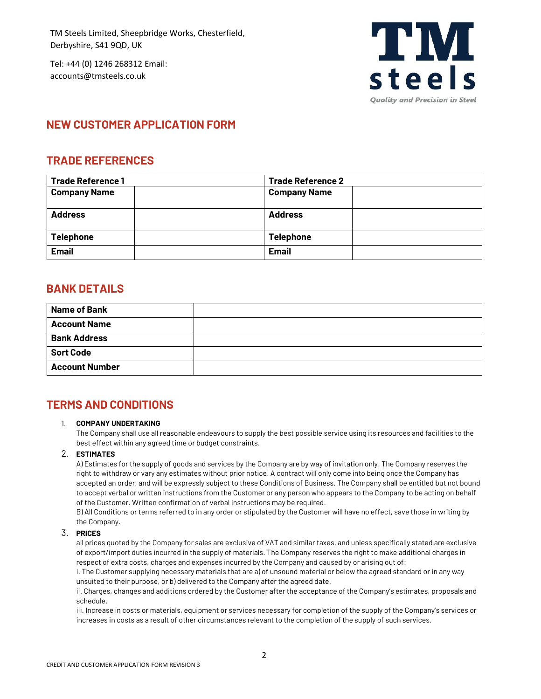Tel: +44 (0) 1246 268312 Email: accounts@tmsteels.co.uk



# **NEW CUSTOMER APPLICATION FORM**

## **TRADE REFERENCES**

| <b>Trade Reference 1</b><br><b>Trade Reference 2</b> |                     |
|------------------------------------------------------|---------------------|
| <b>Company Name</b>                                  | <b>Company Name</b> |
| <b>Address</b>                                       | <b>Address</b>      |
| <b>Telephone</b>                                     | <b>Telephone</b>    |
| <b>Email</b>                                         | <b>Email</b>        |

## **BANK DETAILS**

| <b>Name of Bank</b>   |  |
|-----------------------|--|
| <b>Account Name</b>   |  |
| <b>Bank Address</b>   |  |
| <b>Sort Code</b>      |  |
| <b>Account Number</b> |  |

# **TERMS AND CONDITIONS**

### 1. **COMPANY UNDERTAKING**

The Company shall use all reasonable endeavours to supply the best possible service using its resources and facilities to the best effect within any agreed time or budget constraints.

### 2. **ESTIMATES**

A) Estimates for the supply of goods and services by the Company are by way of invitation only. The Company reserves the right to withdraw or vary any estimates without prior notice. A contract will only come into being once the Company has accepted an order, and will be expressly subject to these Conditions of Business. The Company shall be entitled but not bound to accept verbal or written instructions from the Customer or any person who appears to the Company to be acting on behalf of the Customer. Written confirmation of verbal instructions may be required.

B) All Conditions or terms referred to in any order or stipulated by the Customer will have no effect, save those in writing by the Company.

### 3. **PRICES**

all prices quoted by the Company for sales are exclusive of VAT and similar taxes, and unless specifically stated are exclusive of export/import duties incurred in the supply of materials. The Company reserves the right to make additional charges in respect of extra costs, charges and expenses incurred by the Company and caused by or arising out of:

i. The Customer supplying necessary materials that are a) of unsound material or below the agreed standard or in any way unsuited to their purpose, or b) delivered to the Company after the agreed date.

ii. Charges, changes and additions ordered by the Customer after the acceptance of the Company's estimates, proposals and schedule.

iii. Increase in costs or materials, equipment or services necessary for completion of the supply of the Company's services or increases in costs as a result of other circumstances relevant to the completion of the supply of such services.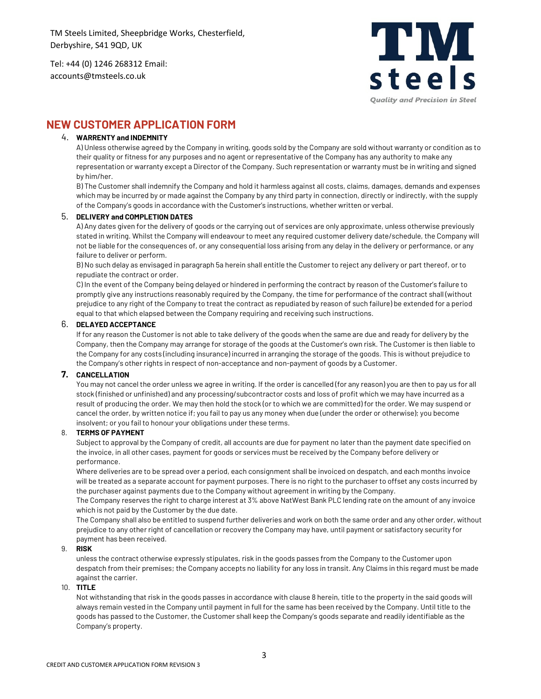Tel: +44 (0) 1246 268312 Email: accounts@tmsteels.co.uk



## **NEW CUSTOMER APPLICATION FORM**

### 4. **WARRENTY and INDEMNITY**

A) Unless otherwise agreed by the Company in writing, goods sold by the Company are sold without warranty or condition as to their quality or fitness for any purposes and no agent or representative of the Company has any authority to make any representation or warranty except a Director of the Company. Such representation or warranty must be in writing and signed by him/her.

B) The Customer shall indemnify the Company and hold it harmless against all costs, claims, damages, demands and expenses which may be incurred by or made against the Company by any third party in connection, directly or indirectly, with the supply of the Company's goods in accordance with the Customer's instructions, whether written or verbal.

#### 5. **DELIVERY and COMPLETION DATES**

A) Any dates given for the delivery of goods or the carrying out of services are only approximate, unless otherwise previously stated in writing. Whilst the Company will endeavour to meet any required customer delivery date/schedule, the Company will not be liable for the consequences of, or any consequential loss arising from any delay in the delivery or performance, or any failure to deliver or perform.

B) No such delay as envisaged in paragraph 5a herein shall entitle the Customer to reject any delivery or part thereof, or to repudiate the contract or order.

C) In the event of the Company being delayed or hindered in performing the contract by reason of the Customer's failure to promptly give any instructions reasonably required by the Company, the time for performance of the contract shall (without prejudice to any right of the Company to treat the contract as repudiated by reason of such failure) be extended for a period equal to that which elapsed between the Company requiring and receiving such instructions.

### 6. **DELAYED ACCEPTANCE**

If for any reason the Customer is not able to take delivery of the goods when the same are due and ready for delivery by the Company, then the Company may arrange for storage of the goods at the Customer's own risk. The Customer is then liable to the Company for any costs (including insurance) incurred in arranging the storage of the goods. This is without prejudice to the Company's other rights in respect of non-acceptance and non-payment of goods by a Customer.

### **7. CANCELLATION**

You may not cancel the order unless we agree in writing. If the order is cancelled (for any reason) you are then to pay us for all stock (finished or unfinished) and any processing/subcontractor costs and loss of profit which we may have incurred as a result of producing the order. We may then hold the stock (or to which we are committed) for the order. We may suspend or cancel the order, by written notice if; you fail to pay us any money when due (under the order or otherwise); you become insolvent; or you fail to honour your obligations under these terms.

### 8. **TERMS OF PAYMENT**

Subject to approval by the Company of credit, all accounts are due for payment no later than the payment date specified on the invoice, in all other cases, payment for goods or services must be received by the Company before delivery or performance.

Where deliveries are to be spread over a period, each consignment shall be invoiced on despatch, and each months invoice will be treated as a separate account for payment purposes. There is no right to the purchaser to offset any costs incurred by the purchaser against payments due to the Company without agreement in writing by the Company.

The Company reserves the right to charge interest at 3% above NatWest Bank PLC lending rate on the amount of any invoice which is not paid by the Customer by the due date.

The Company shall also be entitled to suspend further deliveries and work on both the same order and any other order, without prejudice to any other right of cancellation or recovery the Company may have, until payment or satisfactory security for payment has been received.

### 9. **RISK**

unless the contract otherwise expressly stipulates, risk in the goods passes from the Company to the Customer upon despatch from their premises; the Company accepts no liability for any loss in transit. Any Claims in this regard must be made against the carrier.

#### 10. **TITLE**

Not withstanding that risk in the goods passes in accordance with clause 8 herein, title to the property in the said goods will always remain vested in the Company until payment in full for the same has been received by the Company. Until title to the goods has passed to the Customer, the Customer shall keep the Company's goods separate and readily identifiable as the Company's property.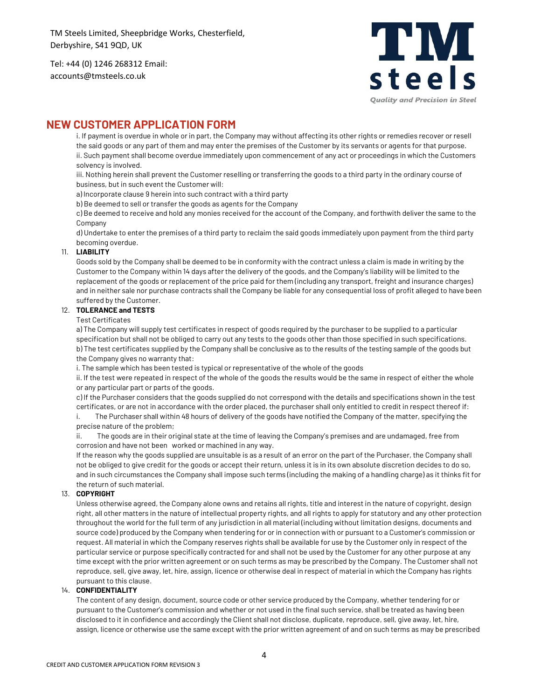Tel: +44 (0) 1246 268312 Email: accounts@tmsteels.co.uk



## **NEW CUSTOMER APPLICATION FORM**

i. If payment is overdue in whole or in part, the Company may without affecting its other rights or remedies recover or resell the said goods or any part of them and may enter the premises of the Customer by its servants or agents for that purpose. ii. Such payment shall become overdue immediately upon commencement of any act or proceedings in which the Customers solvency is involved.

iii. Nothing herein shall prevent the Customer reselling or transferring the goods to a third party in the ordinary course of business, but in such event the Customer will:

a) Incorporate clause 9 herein into such contract with a third party

b) Be deemed to sell or transfer the goods as agents for the Company

c) Be deemed to receive and hold any monies received for the account of the Company, and forthwith deliver the same to the Company

d) Undertake to enter the premises of a third party to reclaim the said goods immediately upon payment from the third party becoming overdue.

### 11. **LIABILITY**

Goods sold by the Company shall be deemed to be in conformity with the contract unless a claim is made in writing by the Customer to the Company within 14 days after the delivery of the goods, and the Company's liability will be limited to the replacement of the goods or replacement of the price paid for them (including any transport, freight and insurance charges) and in neither sale nor purchase contracts shall the Company be liable for any consequential loss of profit alleged to have been suffered by the Customer.

#### 12. **TOLERANCE and TESTS**

#### Test Certificates

a) The Company will supply test certificates in respect of goods required by the purchaser to be supplied to a particular specification but shall not be obliged to carry out any tests to the goods other than those specified in such specifications. b) The test certificates supplied by the Company shall be conclusive as to the results of the testing sample of the goods but the Company gives no warranty that:

i. The sample which has been tested is typical or representative of the whole of the goods

ii. If the test were repeated in respect of the whole of the goods the results would be the same in respect of either the whole or any particular part or parts of the goods.

c) If the Purchaser considers that the goods supplied do not correspond with the details and specifications shown in the test certificates, or are not in accordance with the order placed, the purchaser shall only entitled to credit in respect thereof if:

i. The Purchaser shall within 48 hours of delivery of the goods have notified the Company of the matter, specifying the precise nature of the problem;

ii. The goods are in their original state at the time of leaving the Company's premises and are undamaged, free from corrosion and have not been worked or machined in any way.

If the reason why the goods supplied are unsuitable is as a result of an error on the part of the Purchaser, the Company shall not be obliged to give credit for the goods or accept their return, unless it is in its own absolute discretion decides to do so, and in such circumstances the Company shall impose such terms (including the making of a handling charge) as it thinks fit for the return of such material.

#### 13. **COPYRIGHT**

Unless otherwise agreed, the Company alone owns and retains all rights, title and interest in the nature of copyright, design right, all other matters in the nature of intellectual property rights, and all rights to apply for statutory and any other protection throughout the world for the full term of any jurisdiction in all material (including without limitation designs, documents and source code) produced by the Company when tendering for or in connection with or pursuant to a Customer's commission or request. All material in which the Company reserves rights shall be available for use by the Customer only in respect of the particular service or purpose specifically contracted for and shall not be used by the Customer for any other purpose at any time except with the prior written agreement or on such terms as may be prescribed by the Company. The Customer shall not reproduce, sell, give away, let, hire, assign, licence or otherwise deal in respect of material in which the Company has rights pursuant to this clause.

#### 14. **CONFIDENTIALITY**

The content of any design, document, source code or other service produced by the Company, whether tendering for or pursuant to the Customer's commission and whether or not used in the final such service, shall be treated as having been disclosed to it in confidence and accordingly the Client shall not disclose, duplicate, reproduce, sell, give away, let, hire, assign, licence or otherwise use the same except with the prior written agreement of and on such terms as may be prescribed